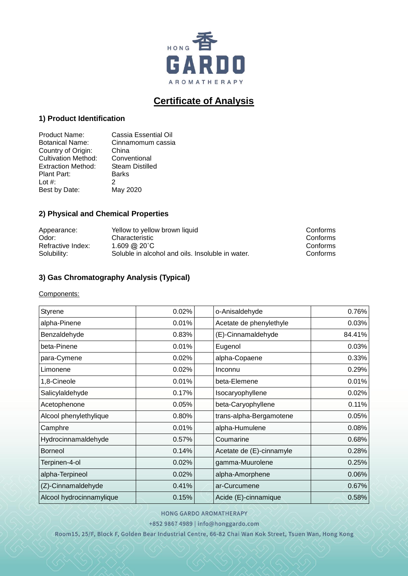

# **Certificate of Analysis**

## **1) Product Identification**

| Product Name:              | Cassia Essential Oil   |
|----------------------------|------------------------|
| <b>Botanical Name:</b>     | Cinnamomum cassia      |
| Country of Origin:         | China                  |
| <b>Cultivation Method:</b> | Conventional           |
| <b>Extraction Method:</b>  | <b>Steam Distilled</b> |
| Plant Part:                | <b>Barks</b>           |
| Lot $#$ :                  | 2                      |
| Best by Date:              | May 2020               |

## **2) Physical and Chemical Properties**

| Appearance:       | Yellow to yellow brown liquid                    | Conforms |
|-------------------|--------------------------------------------------|----------|
| Odor:             | Characteristic                                   | Conforms |
| Refractive Index: | 1.609 @ 20°C                                     | Conforms |
| Solubility:       | Soluble in alcohol and oils. Insoluble in water. | Conforms |

## **3) Gas Chromatography Analysis (Typical)**

#### Components:

| <b>Styrene</b>           | 0.02% | o-Anisaldehyde           | 0.76%  |
|--------------------------|-------|--------------------------|--------|
| alpha-Pinene             | 0.01% | Acetate de phenylethyle  | 0.03%  |
| Benzaldehyde             | 0.83% | (E)-Cinnamaldehyde       | 84.41% |
| beta-Pinene              | 0.01% | Eugenol                  | 0.03%  |
| para-Cymene              | 0.02% | alpha-Copaene            | 0.33%  |
| Limonene                 | 0.02% | Inconnu                  | 0.29%  |
| 1,8-Cineole              | 0.01% | beta-Elemene             | 0.01%  |
| Salicylaldehyde          | 0.17% | Isocaryophyllene         | 0.02%  |
| Acetophenone             | 0.05% | beta-Caryophyllene       | 0.11%  |
| Alcool phenylethylique   | 0.80% | trans-alpha-Bergamotene  | 0.05%  |
| Camphre                  | 0.01% | alpha-Humulene           | 0.08%  |
| Hydrocinnamaldehyde      | 0.57% | Coumarine                | 0.68%  |
| <b>Borneol</b>           | 0.14% | Acetate de (E)-cinnamyle | 0.28%  |
| Terpinen-4-ol            | 0.02% | gamma-Muurolene          | 0.25%  |
| alpha-Terpineol          | 0.02% | alpha-Amorphene          | 0.06%  |
| (Z)-Cinnamaldehyde       | 0.41% | ar-Curcumene             | 0.67%  |
| Alcool hydrocinnamylique | 0.15% | Acide (E)-cinnamique     | 0.58%  |

### HONG GARDO AROMATHERAPY

+852 9867 4989 | info@honggardo.com

Room15, 25/F, Block F, Golden Bear Industrial Centre, 66-82 Chai Wan Kok Street, Tsuen Wan, Hong Kong